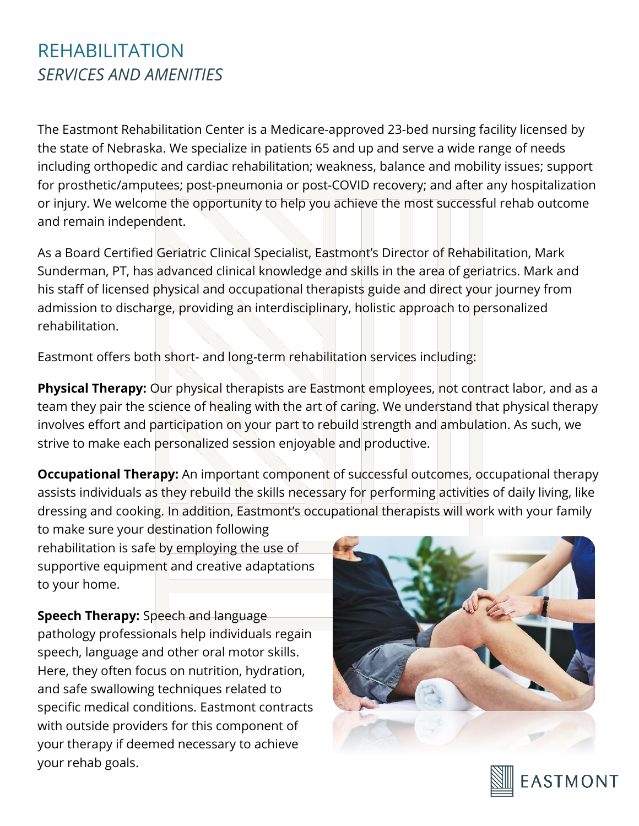## REHABILITATION *SERVICES AND AMENITIES*

The Eastmont Rehabilitation Center is a Medicare-approved 23-bed nursing facility licensed by the state of Nebraska. We specialize in patients 65 and up and serve a wide range of needs including orthopedic and cardiac rehabilitation; weakness, balance and mobility issues; support for prosthetic/amputees; post-pneumonia or post-COVID recovery; and after any hospitalization or injury. We welcome the opportunity to help you achieve the most successful rehab outcome and remain independent.

As a Board Certified Geriatric Clinical Specialist, Eastmont's Director of Rehabilitation, Mark Sunderman, PT, has advanced clinical knowledge and skills in the area of geriatrics. Mark and his staff of licensed physical and occupational therapists guide and direct your journey from admission to discharge, providing an interdisciplinary, holistic approach to personalized rehabilitation.

Eastmont offers both short- and long-term rehabilitation services including:

**Physical Therapy:** Our physical therapists are Eastmont employees, not contract labor, and as a team they pair the science of healing with the art of caring. We understand that physical therapy involves effort and participation on your part to rebuild strength and ambulation. As such, we strive to make each personalized session enjoyable and productive.

**Occupational Therapy:** An important component of successful outcomes, occupational therapy assists individuals as they rebuild the skills necessary for performing activities of daily living, like dressing and cooking. In addition, Eastmont's occupational therapists will work with your family

to make sure your destination following rehabilitation is safe by employing the use of supportive equipment and creative adaptations to your home.

**Speech Therapy:** Speech and language pathology professionals help individuals regain speech, language and other oral motor skills. Here, they often focus on nutrition, hydration, and safe swallowing techniques related to specific medical conditions. Eastmont contracts with outside providers for this component of your therapy if deemed necessary to achieve your rehab goals.